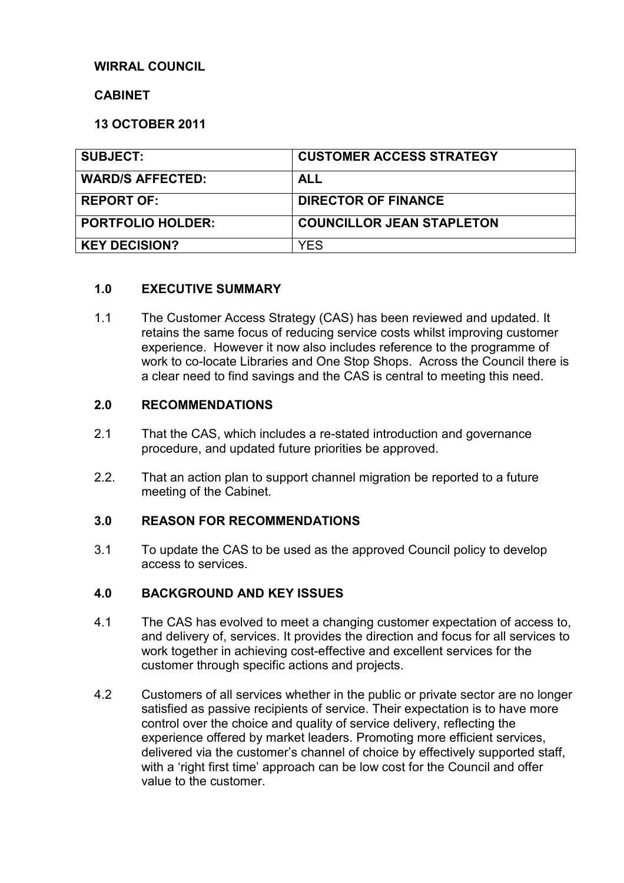# **WIRRAL COUNCIL**

#### **CABINET**

#### **13 OCTOBER 2011**

| <b>SUBJECT:</b>          | <b>CUSTOMER ACCESS STRATEGY</b>  |
|--------------------------|----------------------------------|
| <b>WARD/S AFFECTED:</b>  | <b>ALL</b>                       |
| <b>REPORT OF:</b>        | <b>DIRECTOR OF FINANCE</b>       |
| <b>PORTFOLIO HOLDER:</b> | <b>COUNCILLOR JEAN STAPLETON</b> |
| <b>KEY DECISION?</b>     | YES                              |

#### **1.0 EXECUTIVE SUMMARY**

1.1 The Customer Access Strategy (CAS) has been reviewed and updated. It retains the same focus of reducing service costs whilst improving customer experience. However it now also includes reference to the programme of work to co-locate Libraries and One Stop Shops. Across the Council there is a clear need to find savings and the CAS is central to meeting this need.

#### **2.0 RECOMMENDATIONS**

- 2.1 That the CAS, which includes a re-stated introduction and governance procedure, and updated future priorities be approved.
- 2.2. That an action plan to support channel migration be reported to a future meeting of the Cabinet.

#### **3.0 REASON FOR RECOMMENDATIONS**

3.1 To update the CAS to be used as the approved Council policy to develop access to services.

#### **4.0 BACKGROUND AND KEY ISSUES**

- 4.1 The CAS has evolved to meet a changing customer expectation of access to, and delivery of, services. It provides the direction and focus for all services to work together in achieving cost-effective and excellent services for the customer through specific actions and projects.
- 4.2 Customers of all services whether in the public or private sector are no longer satisfied as passive recipients of service. Their expectation is to have more control over the choice and quality of service delivery, reflecting the experience offered by market leaders. Promoting more efficient services, delivered via the customer's channel of choice by effectively supported staff, with a 'right first time' approach can be low cost for the Council and offer value to the customer.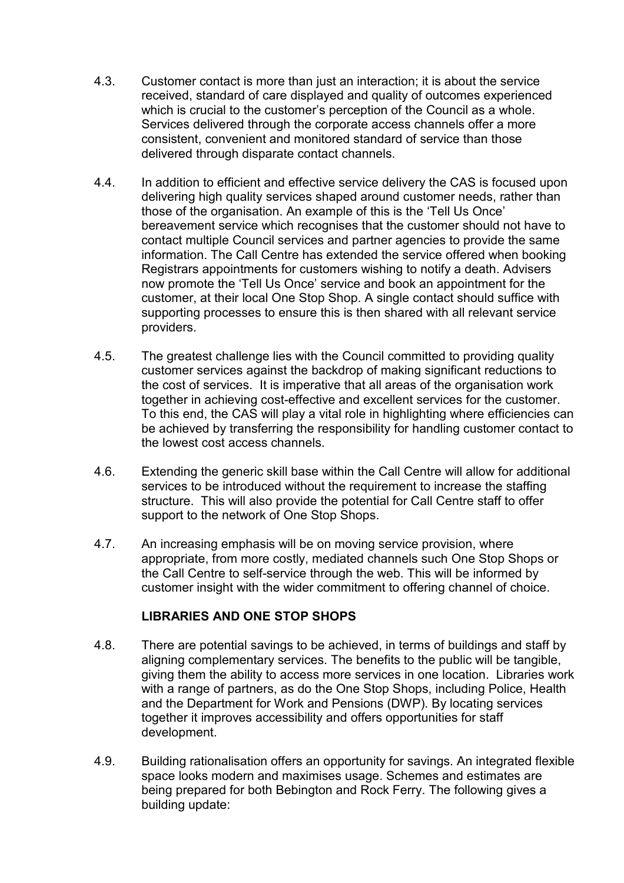- 4.3. Customer contact is more than just an interaction; it is about the service received, standard of care displayed and quality of outcomes experienced which is crucial to the customer's perception of the Council as a whole. Services delivered through the corporate access channels offer a more consistent, convenient and monitored standard of service than those delivered through disparate contact channels.
- 4.4. In addition to efficient and effective service delivery the CAS is focused upon delivering high quality services shaped around customer needs, rather than those of the organisation. An example of this is the 'Tell Us Once' bereavement service which recognises that the customer should not have to contact multiple Council services and partner agencies to provide the same information. The Call Centre has extended the service offered when booking Registrars appointments for customers wishing to notify a death. Advisers now promote the 'Tell Us Once' service and book an appointment for the customer, at their local One Stop Shop. A single contact should suffice with supporting processes to ensure this is then shared with all relevant service providers.
- 4.5. The greatest challenge lies with the Council committed to providing quality customer services against the backdrop of making significant reductions to the cost of services. It is imperative that all areas of the organisation work together in achieving cost-effective and excellent services for the customer. To this end, the CAS will play a vital role in highlighting where efficiencies can be achieved by transferring the responsibility for handling customer contact to the lowest cost access channels.
- 4.6. Extending the generic skill base within the Call Centre will allow for additional services to be introduced without the requirement to increase the staffing structure. This will also provide the potential for Call Centre staff to offer support to the network of One Stop Shops.
- 4.7. An increasing emphasis will be on moving service provision, where appropriate, from more costly, mediated channels such One Stop Shops or the Call Centre to self-service through the web. This will be informed by customer insight with the wider commitment to offering channel of choice.

# **LIBRARIES AND ONE STOP SHOPS**

- 4.8. There are potential savings to be achieved, in terms of buildings and staff by aligning complementary services. The benefits to the public will be tangible, giving them the ability to access more services in one location. Libraries work with a range of partners, as do the One Stop Shops, including Police, Health and the Department for Work and Pensions (DWP). By locating services together it improves accessibility and offers opportunities for staff development.
- 4.9. Building rationalisation offers an opportunity for savings. An integrated flexible space looks modern and maximises usage. Schemes and estimates are being prepared for both Bebington and Rock Ferry. The following gives a building update: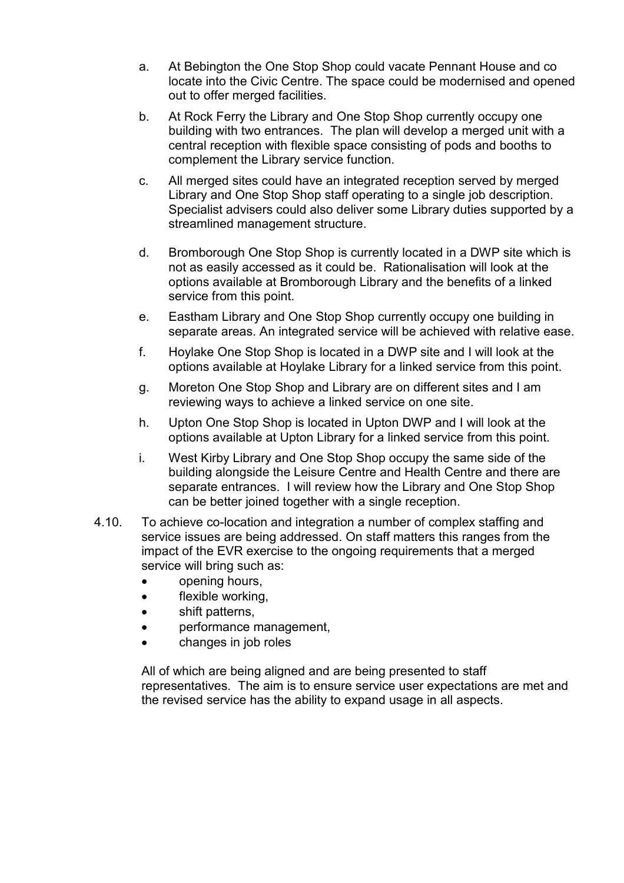- a. At Bebington the One Stop Shop could vacate Pennant House and co locate into the Civic Centre. The space could be modernised and opened out to offer merged facilities.
- b. At Rock Ferry the Library and One Stop Shop currently occupy one building with two entrances. The plan will develop a merged unit with a central reception with flexible space consisting of pods and booths to complement the Library service function.
- c. All merged sites could have an integrated reception served by merged Library and One Stop Shop staff operating to a single job description. Specialist advisers could also deliver some Library duties supported by a streamlined management structure.
- d. Bromborough One Stop Shop is currently located in a DWP site which is not as easily accessed as it could be. Rationalisation will look at the options available at Bromborough Library and the benefits of a linked service from this point.
- e. Eastham Library and One Stop Shop currently occupy one building in separate areas. An integrated service will be achieved with relative ease.
- f. Hoylake One Stop Shop is located in a DWP site and I will look at the options available at Hoylake Library for a linked service from this point.
- g. Moreton One Stop Shop and Library are on different sites and I am reviewing ways to achieve a linked service on one site.
- h. Upton One Stop Shop is located in Upton DWP and I will look at the options available at Upton Library for a linked service from this point.
- i. West Kirby Library and One Stop Shop occupy the same side of the building alongside the Leisure Centre and Health Centre and there are separate entrances. I will review how the Library and One Stop Shop can be better joined together with a single reception.
- 4.10. To achieve co-location and integration a number of complex staffing and service issues are being addressed. On staff matters this ranges from the impact of the EVR exercise to the ongoing requirements that a merged service will bring such as:
	- opening hours,
	- flexible working,
	- shift patterns,
	- performance management,
	- changes in job roles

 All of which are being aligned and are being presented to staff representatives. The aim is to ensure service user expectations are met and the revised service has the ability to expand usage in all aspects.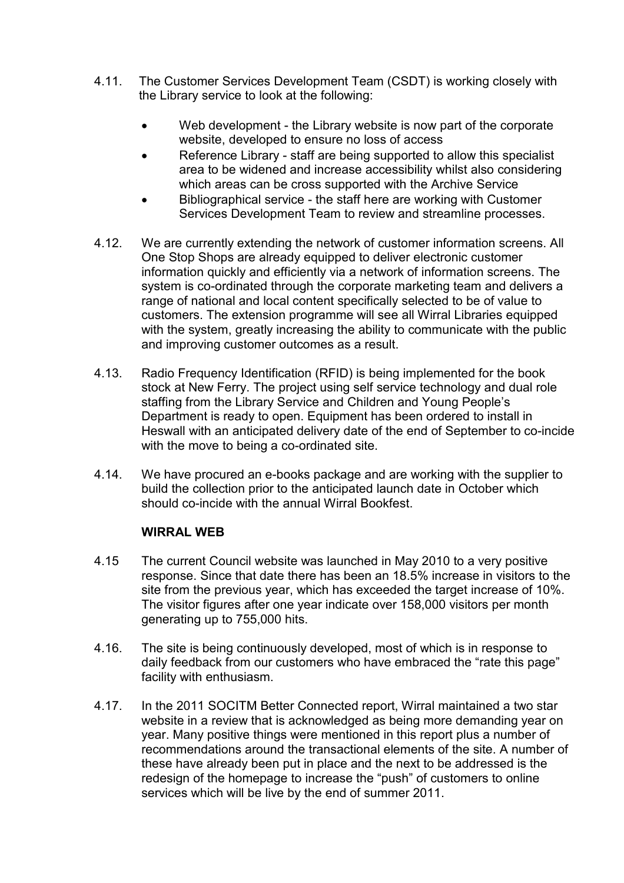- 4.11. The Customer Services Development Team (CSDT) is working closely with the Library service to look at the following:
	- Web development the Library website is now part of the corporate website, developed to ensure no loss of access
	- Reference Library staff are being supported to allow this specialist area to be widened and increase accessibility whilst also considering which areas can be cross supported with the Archive Service
	- Bibliographical service the staff here are working with Customer Services Development Team to review and streamline processes.
- 4.12. We are currently extending the network of customer information screens. All One Stop Shops are already equipped to deliver electronic customer information quickly and efficiently via a network of information screens. The system is co-ordinated through the corporate marketing team and delivers a range of national and local content specifically selected to be of value to customers. The extension programme will see all Wirral Libraries equipped with the system, greatly increasing the ability to communicate with the public and improving customer outcomes as a result.
- 4.13. Radio Frequency Identification (RFID) is being implemented for the book stock at New Ferry. The project using self service technology and dual role staffing from the Library Service and Children and Young People's Department is ready to open. Equipment has been ordered to install in Heswall with an anticipated delivery date of the end of September to co-incide with the move to being a co-ordinated site.
- 4.14. We have procured an e-books package and are working with the supplier to build the collection prior to the anticipated launch date in October which should co-incide with the annual Wirral Bookfest.

## **WIRRAL WEB**

- 4.15 The current Council website was launched in May 2010 to a very positive response. Since that date there has been an 18.5% increase in visitors to the site from the previous year, which has exceeded the target increase of 10%. The visitor figures after one year indicate over 158,000 visitors per month generating up to 755,000 hits.
- 4.16. The site is being continuously developed, most of which is in response to daily feedback from our customers who have embraced the "rate this page" facility with enthusiasm.
- 4.17. In the 2011 SOCITM Better Connected report, Wirral maintained a two star website in a review that is acknowledged as being more demanding year on year. Many positive things were mentioned in this report plus a number of recommendations around the transactional elements of the site. A number of these have already been put in place and the next to be addressed is the redesign of the homepage to increase the "push" of customers to online services which will be live by the end of summer 2011.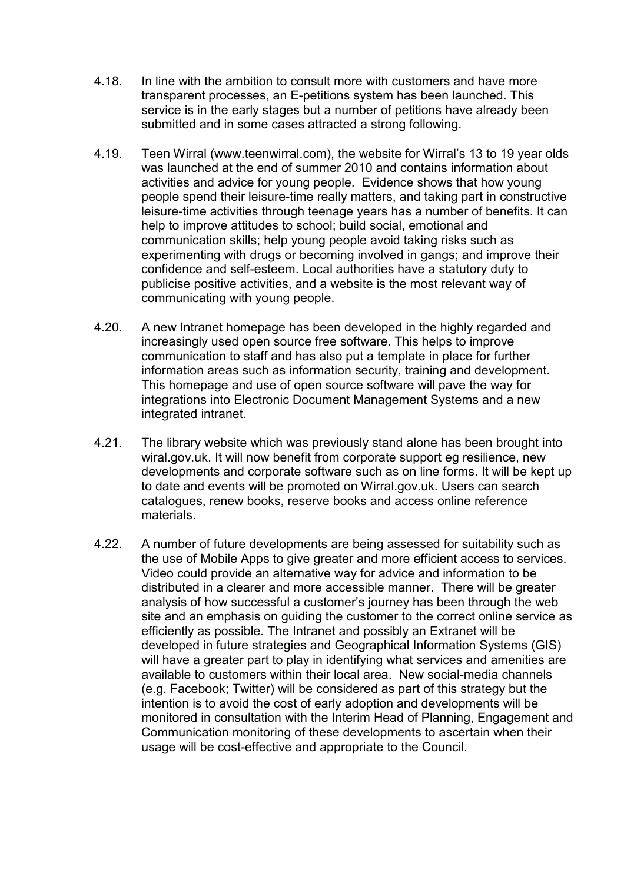- 4.18. In line with the ambition to consult more with customers and have more transparent processes, an E-petitions system has been launched. This service is in the early stages but a number of petitions have already been submitted and in some cases attracted a strong following.
- 4.19. Teen Wirral (www.teenwirral.com), the website for Wirral's 13 to 19 year olds was launched at the end of summer 2010 and contains information about activities and advice for young people. Evidence shows that how young people spend their leisure-time really matters, and taking part in constructive leisure-time activities through teenage years has a number of benefits. It can help to improve attitudes to school; build social, emotional and communication skills; help young people avoid taking risks such as experimenting with drugs or becoming involved in gangs; and improve their confidence and self-esteem. Local authorities have a statutory duty to publicise positive activities, and a website is the most relevant way of communicating with young people.
- 4.20. A new Intranet homepage has been developed in the highly regarded and increasingly used open source free software. This helps to improve communication to staff and has also put a template in place for further information areas such as information security, training and development. This homepage and use of open source software will pave the way for integrations into Electronic Document Management Systems and a new integrated intranet.
- 4.21. The library website which was previously stand alone has been brought into wiral.gov.uk. It will now benefit from corporate support eg resilience, new developments and corporate software such as on line forms. It will be kept up to date and events will be promoted on Wirral.gov.uk. Users can search catalogues, renew books, reserve books and access online reference materials.
- 4.22. A number of future developments are being assessed for suitability such as the use of Mobile Apps to give greater and more efficient access to services. Video could provide an alternative way for advice and information to be distributed in a clearer and more accessible manner. There will be greater analysis of how successful a customer's journey has been through the web site and an emphasis on guiding the customer to the correct online service as efficiently as possible. The Intranet and possibly an Extranet will be developed in future strategies and Geographical Information Systems (GIS) will have a greater part to play in identifying what services and amenities are available to customers within their local area. New social-media channels (e.g. Facebook; Twitter) will be considered as part of this strategy but the intention is to avoid the cost of early adoption and developments will be monitored in consultation with the Interim Head of Planning, Engagement and Communication monitoring of these developments to ascertain when their usage will be cost-effective and appropriate to the Council.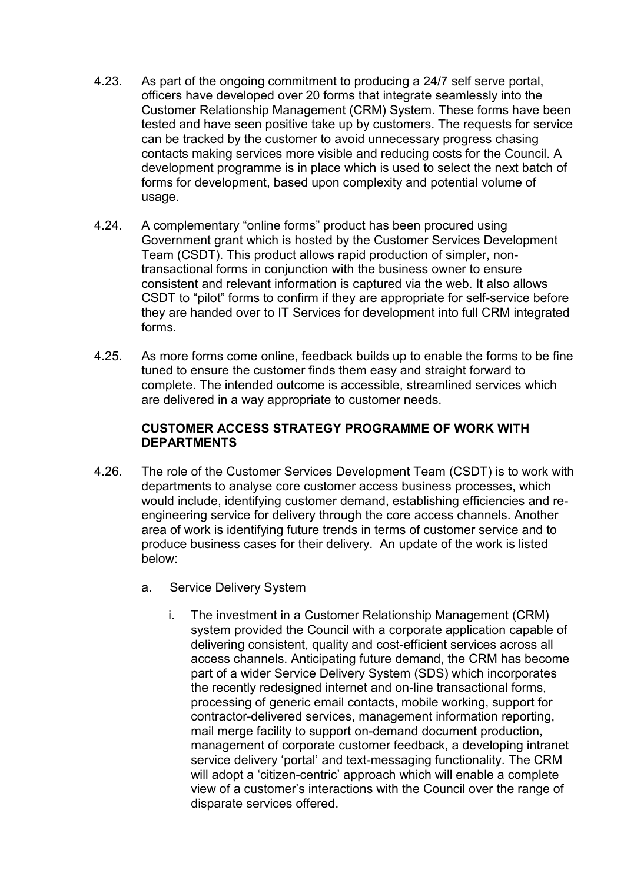- 4.23. As part of the ongoing commitment to producing a 24/7 self serve portal, officers have developed over 20 forms that integrate seamlessly into the Customer Relationship Management (CRM) System. These forms have been tested and have seen positive take up by customers. The requests for service can be tracked by the customer to avoid unnecessary progress chasing contacts making services more visible and reducing costs for the Council. A development programme is in place which is used to select the next batch of forms for development, based upon complexity and potential volume of usage.
- 4.24. A complementary "online forms" product has been procured using Government grant which is hosted by the Customer Services Development Team (CSDT). This product allows rapid production of simpler, nontransactional forms in conjunction with the business owner to ensure consistent and relevant information is captured via the web. It also allows CSDT to "pilot" forms to confirm if they are appropriate for self-service before they are handed over to IT Services for development into full CRM integrated forms.
- 4.25. As more forms come online, feedback builds up to enable the forms to be fine tuned to ensure the customer finds them easy and straight forward to complete. The intended outcome is accessible, streamlined services which are delivered in a way appropriate to customer needs.

#### **CUSTOMER ACCESS STRATEGY PROGRAMME OF WORK WITH DEPARTMENTS**

- 4.26. The role of the Customer Services Development Team (CSDT) is to work with departments to analyse core customer access business processes, which would include, identifying customer demand, establishing efficiencies and reengineering service for delivery through the core access channels. Another area of work is identifying future trends in terms of customer service and to produce business cases for their delivery. An update of the work is listed below:
	- a. Service Delivery System
		- i. The investment in a Customer Relationship Management (CRM) system provided the Council with a corporate application capable of delivering consistent, quality and cost-efficient services across all access channels. Anticipating future demand, the CRM has become part of a wider Service Delivery System (SDS) which incorporates the recently redesigned internet and on-line transactional forms, processing of generic email contacts, mobile working, support for contractor-delivered services, management information reporting, mail merge facility to support on-demand document production, management of corporate customer feedback, a developing intranet service delivery 'portal' and text-messaging functionality. The CRM will adopt a 'citizen-centric' approach which will enable a complete view of a customer's interactions with the Council over the range of disparate services offered.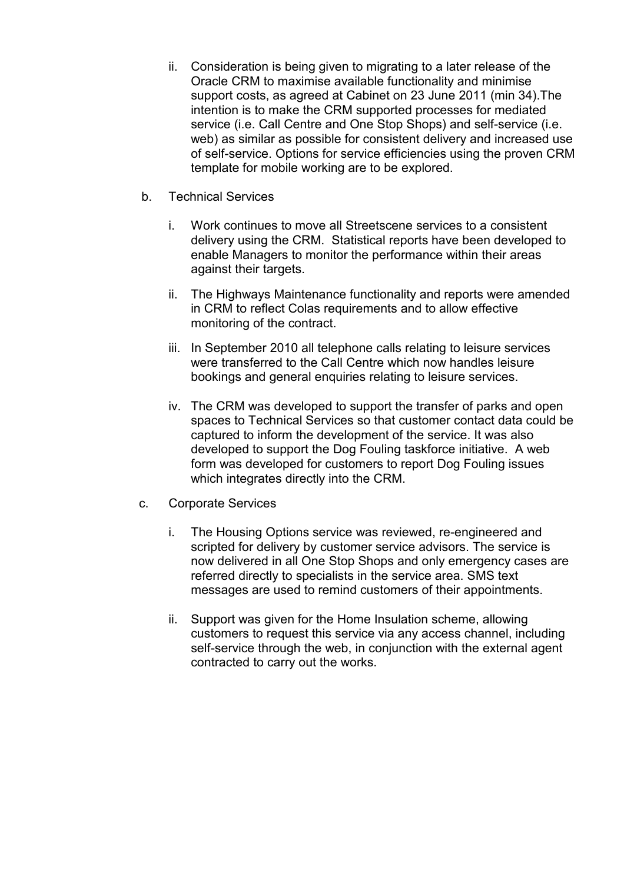- ii. Consideration is being given to migrating to a later release of the Oracle CRM to maximise available functionality and minimise support costs, as agreed at Cabinet on 23 June 2011 (min 34).The intention is to make the CRM supported processes for mediated service (i.e. Call Centre and One Stop Shops) and self-service (i.e. web) as similar as possible for consistent delivery and increased use of self-service. Options for service efficiencies using the proven CRM template for mobile working are to be explored.
- b. Technical Services
	- i. Work continues to move all Streetscene services to a consistent delivery using the CRM. Statistical reports have been developed to enable Managers to monitor the performance within their areas against their targets.
	- ii. The Highways Maintenance functionality and reports were amended in CRM to reflect Colas requirements and to allow effective monitoring of the contract.
	- iii. In September 2010 all telephone calls relating to leisure services were transferred to the Call Centre which now handles leisure bookings and general enquiries relating to leisure services.
	- iv. The CRM was developed to support the transfer of parks and open spaces to Technical Services so that customer contact data could be captured to inform the development of the service. It was also developed to support the Dog Fouling taskforce initiative. A web form was developed for customers to report Dog Fouling issues which integrates directly into the CRM.
- c. Corporate Services
	- i. The Housing Options service was reviewed, re-engineered and scripted for delivery by customer service advisors. The service is now delivered in all One Stop Shops and only emergency cases are referred directly to specialists in the service area. SMS text messages are used to remind customers of their appointments.
	- ii. Support was given for the Home Insulation scheme, allowing customers to request this service via any access channel, including self-service through the web, in conjunction with the external agent contracted to carry out the works.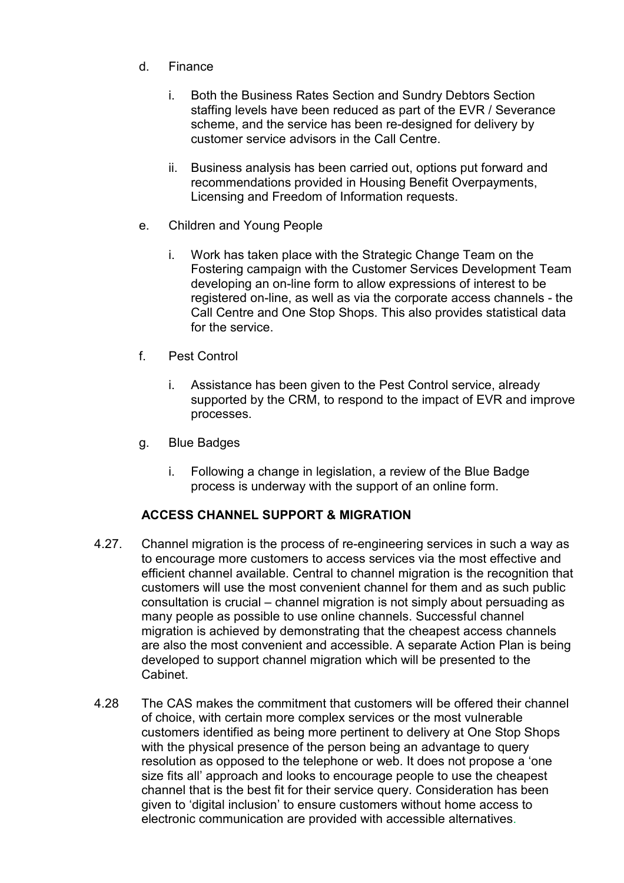- d. Finance
	- i. Both the Business Rates Section and Sundry Debtors Section staffing levels have been reduced as part of the EVR / Severance scheme, and the service has been re-designed for delivery by customer service advisors in the Call Centre.
	- ii. Business analysis has been carried out, options put forward and recommendations provided in Housing Benefit Overpayments, Licensing and Freedom of Information requests.
- e. Children and Young People
	- i. Work has taken place with the Strategic Change Team on the Fostering campaign with the Customer Services Development Team developing an on-line form to allow expressions of interest to be registered on-line, as well as via the corporate access channels - the Call Centre and One Stop Shops. This also provides statistical data for the service.
- f. Pest Control
	- i. Assistance has been given to the Pest Control service, already supported by the CRM, to respond to the impact of EVR and improve processes.
- g. Blue Badges
	- i. Following a change in legislation, a review of the Blue Badge process is underway with the support of an online form.

## **ACCESS CHANNEL SUPPORT & MIGRATION**

- 4.27. Channel migration is the process of re-engineering services in such a way as to encourage more customers to access services via the most effective and efficient channel available. Central to channel migration is the recognition that customers will use the most convenient channel for them and as such public consultation is crucial – channel migration is not simply about persuading as many people as possible to use online channels. Successful channel migration is achieved by demonstrating that the cheapest access channels are also the most convenient and accessible. A separate Action Plan is being developed to support channel migration which will be presented to the Cabinet.
- 4.28 The CAS makes the commitment that customers will be offered their channel of choice, with certain more complex services or the most vulnerable customers identified as being more pertinent to delivery at One Stop Shops with the physical presence of the person being an advantage to query resolution as opposed to the telephone or web. It does not propose a 'one size fits all' approach and looks to encourage people to use the cheapest channel that is the best fit for their service query. Consideration has been given to 'digital inclusion' to ensure customers without home access to electronic communication are provided with accessible alternatives.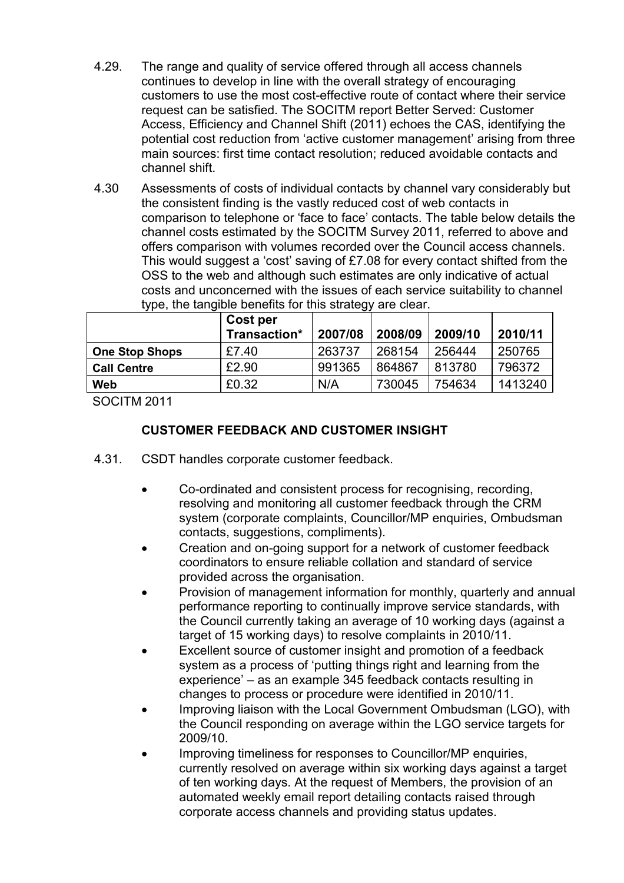- 4.29. The range and quality of service offered through all access channels continues to develop in line with the overall strategy of encouraging customers to use the most cost-effective route of contact where their service request can be satisfied. The SOCITM report Better Served: Customer Access, Efficiency and Channel Shift (2011) echoes the CAS, identifying the potential cost reduction from 'active customer management' arising from three main sources: first time contact resolution; reduced avoidable contacts and channel shift.
- 4.30 Assessments of costs of individual contacts by channel vary considerably but the consistent finding is the vastly reduced cost of web contacts in comparison to telephone or 'face to face' contacts. The table below details the channel costs estimated by the SOCITM Survey 2011, referred to above and offers comparison with volumes recorded over the Council access channels. This would suggest a 'cost' saving of £7.08 for every contact shifted from the OSS to the web and although such estimates are only indicative of actual costs and unconcerned with the issues of each service suitability to channel type, the tangible benefits for this strategy are clear.

|                       | Cost per<br>Transaction* | 2007/08 | 2008/09 | 2009/10 | 2010/11 |
|-----------------------|--------------------------|---------|---------|---------|---------|
| <b>One Stop Shops</b> | £7.40                    | 263737  | 268154  | 256444  | 250765  |
| <b>Call Centre</b>    | £2.90                    | 991365  | 864867  | 813780  | 796372  |
| Web                   | £0.32                    | N/A     | 730045  | 754634  | 1413240 |

SOCITM 2011

## **CUSTOMER FEEDBACK AND CUSTOMER INSIGHT**

- 4.31. CSDT handles corporate customer feedback.
	- Co-ordinated and consistent process for recognising, recording, resolving and monitoring all customer feedback through the CRM system (corporate complaints, Councillor/MP enquiries, Ombudsman contacts, suggestions, compliments).
	- Creation and on-going support for a network of customer feedback coordinators to ensure reliable collation and standard of service provided across the organisation.
	- Provision of management information for monthly, quarterly and annual performance reporting to continually improve service standards, with the Council currently taking an average of 10 working days (against a target of 15 working days) to resolve complaints in 2010/11.
	- Excellent source of customer insight and promotion of a feedback system as a process of 'putting things right and learning from the experience' – as an example 345 feedback contacts resulting in changes to process or procedure were identified in 2010/11.
	- Improving liaison with the Local Government Ombudsman (LGO), with the Council responding on average within the LGO service targets for 2009/10.
	- Improving timeliness for responses to Councillor/MP enquiries, currently resolved on average within six working days against a target of ten working days. At the request of Members, the provision of an automated weekly email report detailing contacts raised through corporate access channels and providing status updates.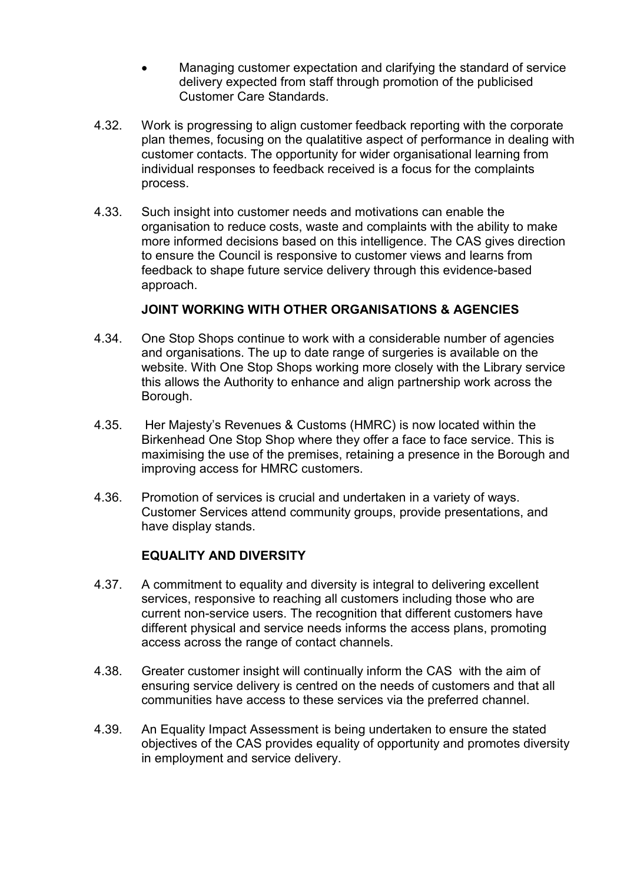- Managing customer expectation and clarifying the standard of service delivery expected from staff through promotion of the publicised Customer Care Standards.
- 4.32. Work is progressing to align customer feedback reporting with the corporate plan themes, focusing on the qualatitive aspect of performance in dealing with customer contacts. The opportunity for wider organisational learning from individual responses to feedback received is a focus for the complaints process.
- 4.33. Such insight into customer needs and motivations can enable the organisation to reduce costs, waste and complaints with the ability to make more informed decisions based on this intelligence. The CAS gives direction to ensure the Council is responsive to customer views and learns from feedback to shape future service delivery through this evidence-based approach.

## **JOINT WORKING WITH OTHER ORGANISATIONS & AGENCIES**

- 4.34. One Stop Shops continue to work with a considerable number of agencies and organisations. The up to date range of surgeries is available on the website. With One Stop Shops working more closely with the Library service this allows the Authority to enhance and align partnership work across the Borough.
- 4.35. Her Majesty's Revenues & Customs (HMRC) is now located within the Birkenhead One Stop Shop where they offer a face to face service. This is maximising the use of the premises, retaining a presence in the Borough and improving access for HMRC customers.
- 4.36. Promotion of services is crucial and undertaken in a variety of ways. Customer Services attend community groups, provide presentations, and have display stands.

#### **EQUALITY AND DIVERSITY**

- 4.37. A commitment to equality and diversity is integral to delivering excellent services, responsive to reaching all customers including those who are current non-service users. The recognition that different customers have different physical and service needs informs the access plans, promoting access across the range of contact channels.
- 4.38. Greater customer insight will continually inform the CAS with the aim of ensuring service delivery is centred on the needs of customers and that all communities have access to these services via the preferred channel.
- 4.39. An Equality Impact Assessment is being undertaken to ensure the stated objectives of the CAS provides equality of opportunity and promotes diversity in employment and service delivery.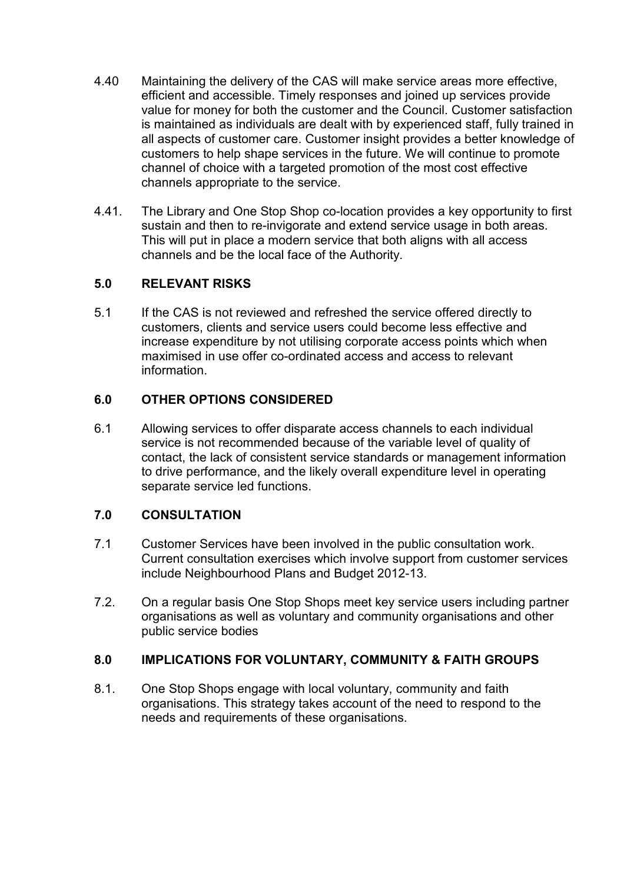- 4.40 Maintaining the delivery of the CAS will make service areas more effective, efficient and accessible. Timely responses and joined up services provide value for money for both the customer and the Council. Customer satisfaction is maintained as individuals are dealt with by experienced staff, fully trained in all aspects of customer care. Customer insight provides a better knowledge of customers to help shape services in the future. We will continue to promote channel of choice with a targeted promotion of the most cost effective channels appropriate to the service.
- 4.41. The Library and One Stop Shop co-location provides a key opportunity to first sustain and then to re-invigorate and extend service usage in both areas. This will put in place a modern service that both aligns with all access channels and be the local face of the Authority.

## **5.0 RELEVANT RISKS**

5.1 If the CAS is not reviewed and refreshed the service offered directly to customers, clients and service users could become less effective and increase expenditure by not utilising corporate access points which when maximised in use offer co-ordinated access and access to relevant information.

#### **6.0 OTHER OPTIONS CONSIDERED**

6.1 Allowing services to offer disparate access channels to each individual service is not recommended because of the variable level of quality of contact, the lack of consistent service standards or management information to drive performance, and the likely overall expenditure level in operating separate service led functions.

## **7.0 CONSULTATION**

- 7.1 Customer Services have been involved in the public consultation work. Current consultation exercises which involve support from customer services include Neighbourhood Plans and Budget 2012-13.
- 7.2. On a regular basis One Stop Shops meet key service users including partner organisations as well as voluntary and community organisations and other public service bodies

#### **8.0 IMPLICATIONS FOR VOLUNTARY, COMMUNITY & FAITH GROUPS**

8.1. One Stop Shops engage with local voluntary, community and faith organisations. This strategy takes account of the need to respond to the needs and requirements of these organisations.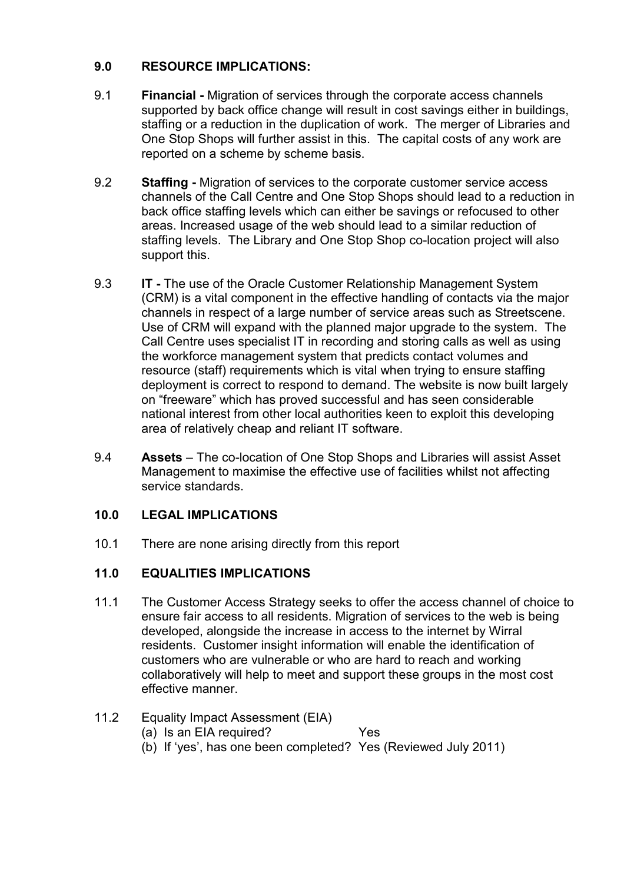# **9.0 RESOURCE IMPLICATIONS:**

- 9.1 **Financial -** Migration of services through the corporate access channels supported by back office change will result in cost savings either in buildings, staffing or a reduction in the duplication of work. The merger of Libraries and One Stop Shops will further assist in this. The capital costs of any work are reported on a scheme by scheme basis.
- 9.2 **Staffing** Migration of services to the corporate customer service access channels of the Call Centre and One Stop Shops should lead to a reduction in back office staffing levels which can either be savings or refocused to other areas. Increased usage of the web should lead to a similar reduction of staffing levels. The Library and One Stop Shop co-location project will also support this.
- 9.3 **IT** The use of the Oracle Customer Relationship Management System (CRM) is a vital component in the effective handling of contacts via the major channels in respect of a large number of service areas such as Streetscene. Use of CRM will expand with the planned major upgrade to the system. The Call Centre uses specialist IT in recording and storing calls as well as using the workforce management system that predicts contact volumes and resource (staff) requirements which is vital when trying to ensure staffing deployment is correct to respond to demand. The website is now built largely on "freeware" which has proved successful and has seen considerable national interest from other local authorities keen to exploit this developing area of relatively cheap and reliant IT software.
- 9.4 **Assets** The co-location of One Stop Shops and Libraries will assist Asset Management to maximise the effective use of facilities whilst not affecting service standards.

## **10.0 LEGAL IMPLICATIONS**

10.1 There are none arising directly from this report

## **11.0 EQUALITIES IMPLICATIONS**

11.1 The Customer Access Strategy seeks to offer the access channel of choice to ensure fair access to all residents. Migration of services to the web is being developed, alongside the increase in access to the internet by Wirral residents. Customer insight information will enable the identification of customers who are vulnerable or who are hard to reach and working collaboratively will help to meet and support these groups in the most cost effective manner.

# 11.2 Equality Impact Assessment (EIA)

- (a) Is an EIA required? Yes
- (b) If 'yes', has one been completed? Yes (Reviewed July 2011)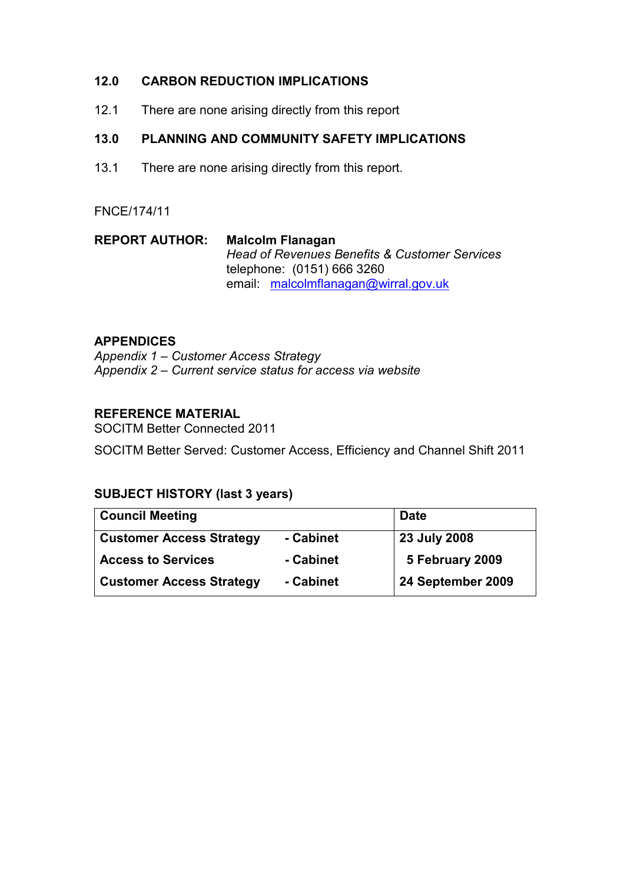## **12.0 CARBON REDUCTION IMPLICATIONS**

12.1 There are none arising directly from this report

# **13.0 PLANNING AND COMMUNITY SAFETY IMPLICATIONS**

13.1 There are none arising directly from this report.

#### FNCE/174/11

| <b>REPORT AUTHOR:</b> | <b>Malcolm Flanagan</b>                                  |  |  |
|-----------------------|----------------------------------------------------------|--|--|
|                       | <b>Head of Revenues Benefits &amp; Customer Services</b> |  |  |
|                       | telephone: (0151) 666 3260                               |  |  |
|                       | email malcolmflanagan@wirral.gov.uk                      |  |  |

#### **APPENDICES**

*Appendix 1 – Customer Access Strategy Appendix 2 – Current service status for access via website* 

#### **REFERENCE MATERIAL**

SOCITM Better Connected 2011 SOCITM Better Served: Customer Access, Efficiency and Channel Shift 2011

## **SUBJECT HISTORY (last 3 years)**

| <b>Council Meeting</b>          |           | <b>Date</b>       |
|---------------------------------|-----------|-------------------|
| <b>Customer Access Strategy</b> | - Cabinet | 23 July 2008      |
| <b>Access to Services</b>       | - Cabinet | 5 February 2009   |
| <b>Customer Access Strategy</b> | - Cabinet | 24 September 2009 |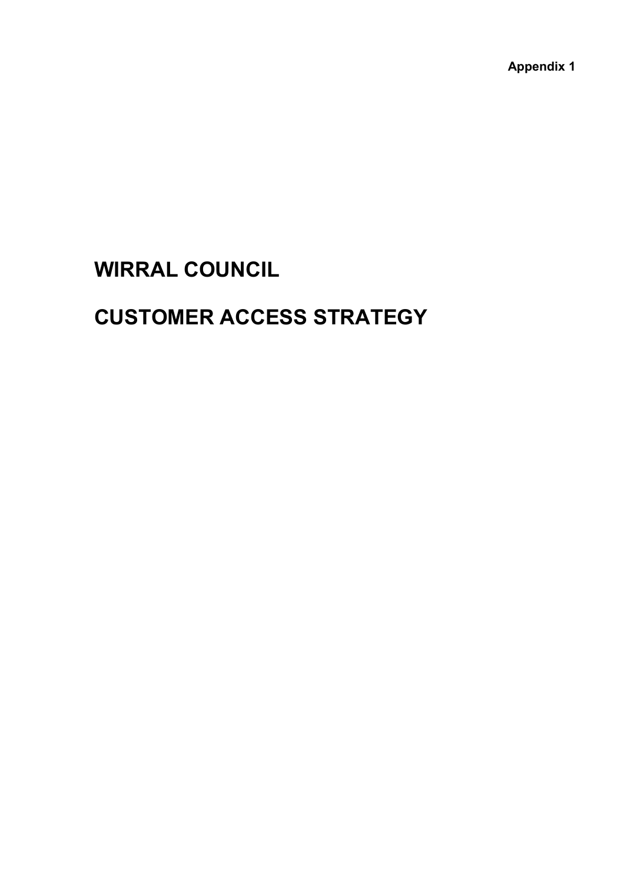**Appendix 1** 

# **WIRRAL COUNCIL**

# **CUSTOMER ACCESS STRATEGY**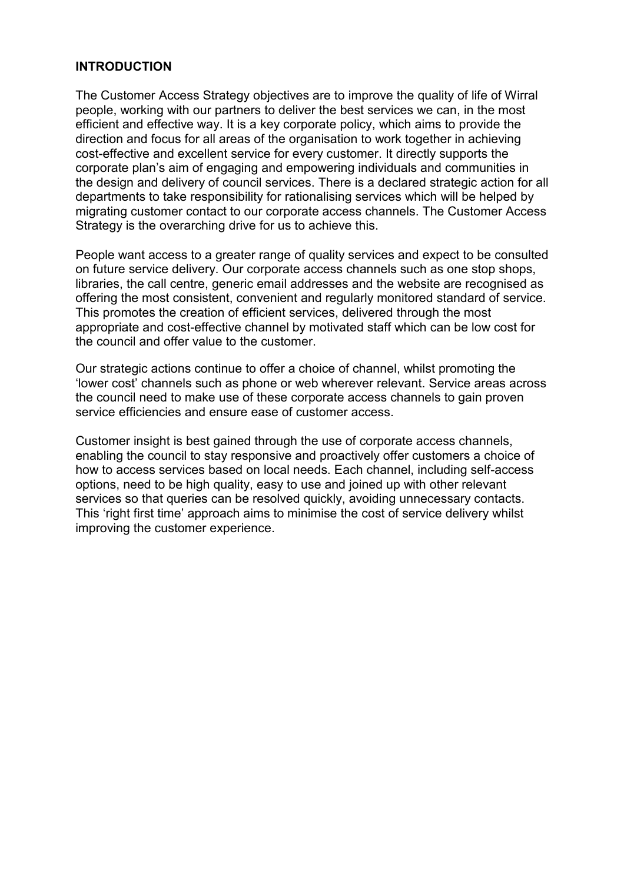#### **INTRODUCTION**

The Customer Access Strategy objectives are to improve the quality of life of Wirral people, working with our partners to deliver the best services we can, in the most efficient and effective way. It is a key corporate policy, which aims to provide the direction and focus for all areas of the organisation to work together in achieving cost-effective and excellent service for every customer. It directly supports the corporate plan's aim of engaging and empowering individuals and communities in the design and delivery of council services. There is a declared strategic action for all departments to take responsibility for rationalising services which will be helped by migrating customer contact to our corporate access channels. The Customer Access Strategy is the overarching drive for us to achieve this.

People want access to a greater range of quality services and expect to be consulted on future service delivery. Our corporate access channels such as one stop shops, libraries, the call centre, generic email addresses and the website are recognised as offering the most consistent, convenient and regularly monitored standard of service. This promotes the creation of efficient services, delivered through the most appropriate and cost-effective channel by motivated staff which can be low cost for the council and offer value to the customer.

Our strategic actions continue to offer a choice of channel, whilst promoting the 'lower cost' channels such as phone or web wherever relevant. Service areas across the council need to make use of these corporate access channels to gain proven service efficiencies and ensure ease of customer access.

Customer insight is best gained through the use of corporate access channels, enabling the council to stay responsive and proactively offer customers a choice of how to access services based on local needs. Each channel, including self-access options, need to be high quality, easy to use and joined up with other relevant services so that queries can be resolved quickly, avoiding unnecessary contacts. This 'right first time' approach aims to minimise the cost of service delivery whilst improving the customer experience.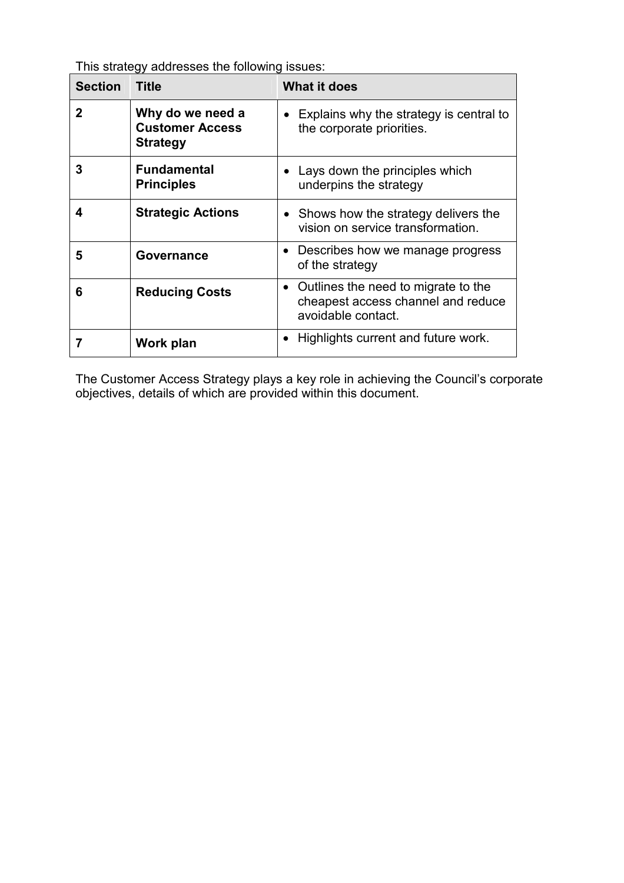This strategy addresses the following issues:

| <b>Section</b> | <b>Title</b>                                                  | <b>What it does</b>                                                                             |
|----------------|---------------------------------------------------------------|-------------------------------------------------------------------------------------------------|
| 2              | Why do we need a<br><b>Customer Access</b><br><b>Strategy</b> | $\bullet$ Explains why the strategy is central to<br>the corporate priorities.                  |
| 3              | <b>Fundamental</b><br><b>Principles</b>                       | Lays down the principles which<br>underpins the strategy                                        |
| 4              | <b>Strategic Actions</b>                                      | • Shows how the strategy delivers the<br>vision on service transformation.                      |
| 5              | Governance                                                    | Describes how we manage progress<br>of the strategy                                             |
| 6              | <b>Reducing Costs</b>                                         | Outlines the need to migrate to the<br>cheapest access channel and reduce<br>avoidable contact. |
|                | Work plan                                                     | Highlights current and future work.                                                             |

The Customer Access Strategy plays a key role in achieving the Council's corporate objectives, details of which are provided within this document.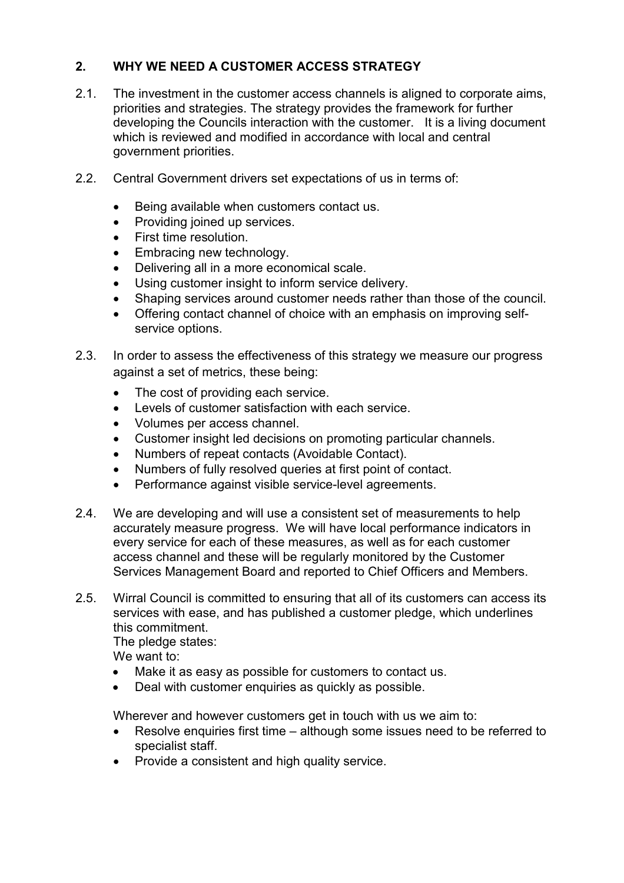# **2. WHY WE NEED A CUSTOMER ACCESS STRATEGY**

- 2.1. The investment in the customer access channels is aligned to corporate aims, priorities and strategies. The strategy provides the framework for further developing the Councils interaction with the customer. It is a living document which is reviewed and modified in accordance with local and central government priorities.
- 2.2. Central Government drivers set expectations of us in terms of:
	- Being available when customers contact us.
	- Providing joined up services.
	- First time resolution.
	- Embracing new technology.
	- Delivering all in a more economical scale.
	- Using customer insight to inform service delivery.
	- Shaping services around customer needs rather than those of the council.
	- Offering contact channel of choice with an emphasis on improving selfservice options.
- 2.3. In order to assess the effectiveness of this strategy we measure our progress against a set of metrics, these being:
	- The cost of providing each service.
	- Levels of customer satisfaction with each service.
	- Volumes per access channel.
	- Customer insight led decisions on promoting particular channels.
	- Numbers of repeat contacts (Avoidable Contact).
	- Numbers of fully resolved queries at first point of contact.
	- Performance against visible service-level agreements.
- 2.4. We are developing and will use a consistent set of measurements to help accurately measure progress. We will have local performance indicators in every service for each of these measures, as well as for each customer access channel and these will be regularly monitored by the Customer Services Management Board and reported to Chief Officers and Members.
- 2.5. Wirral Council is committed to ensuring that all of its customers can access its services with ease, and has published a customer pledge, which underlines this commitment.

The pledge states:

We want to:

- Make it as easy as possible for customers to contact us.
- Deal with customer enquiries as quickly as possible.

Wherever and however customers get in touch with us we aim to:

- Resolve enquiries first time although some issues need to be referred to specialist staff.
- Provide a consistent and high quality service.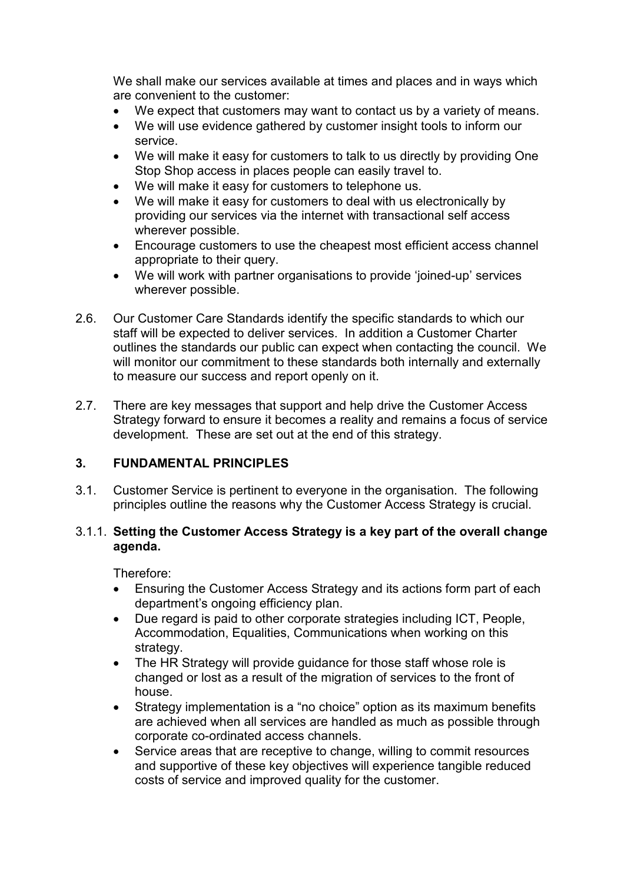We shall make our services available at times and places and in ways which are convenient to the customer:

- We expect that customers may want to contact us by a variety of means.
- We will use evidence gathered by customer insight tools to inform our service.
- We will make it easy for customers to talk to us directly by providing One Stop Shop access in places people can easily travel to.
- We will make it easy for customers to telephone us.
- We will make it easy for customers to deal with us electronically by providing our services via the internet with transactional self access wherever possible.
- Encourage customers to use the cheapest most efficient access channel appropriate to their query.
- We will work with partner organisations to provide 'joined-up' services wherever possible.
- 2.6. Our Customer Care Standards identify the specific standards to which our staff will be expected to deliver services. In addition a Customer Charter outlines the standards our public can expect when contacting the council. We will monitor our commitment to these standards both internally and externally to measure our success and report openly on it.
- 2.7. There are key messages that support and help drive the Customer Access Strategy forward to ensure it becomes a reality and remains a focus of service development. These are set out at the end of this strategy.

#### **3. FUNDAMENTAL PRINCIPLES**

3.1. Customer Service is pertinent to everyone in the organisation. The following principles outline the reasons why the Customer Access Strategy is crucial.

#### 3.1.1. **Setting the Customer Access Strategy is a key part of the overall change agenda.**

Therefore:

- Ensuring the Customer Access Strategy and its actions form part of each department's ongoing efficiency plan.
- Due regard is paid to other corporate strategies including ICT, People, Accommodation, Equalities, Communications when working on this strategy.
- The HR Strategy will provide guidance for those staff whose role is changed or lost as a result of the migration of services to the front of house.
- Strategy implementation is a "no choice" option as its maximum benefits are achieved when all services are handled as much as possible through corporate co-ordinated access channels.
- Service areas that are receptive to change, willing to commit resources and supportive of these key objectives will experience tangible reduced costs of service and improved quality for the customer.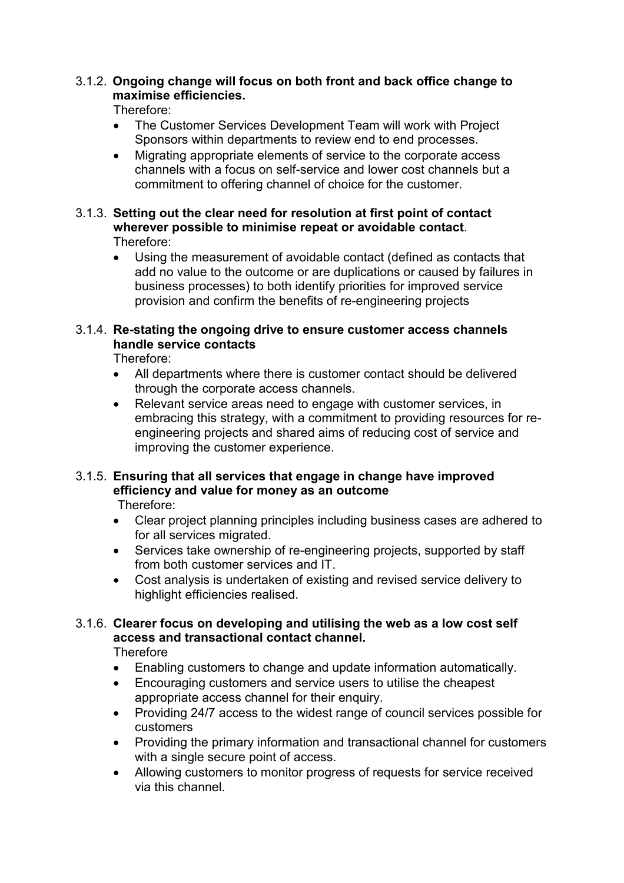## 3.1.2. **Ongoing change will focus on both front and back office change to maximise efficiencies.**

Therefore:

- The Customer Services Development Team will work with Project Sponsors within departments to review end to end processes.
- Migrating appropriate elements of service to the corporate access channels with a focus on self-service and lower cost channels but a commitment to offering channel of choice for the customer.
- 3.1.3. **Setting out the clear need for resolution at first point of contact wherever possible to minimise repeat or avoidable contact**. Therefore:
	- Using the measurement of avoidable contact (defined as contacts that add no value to the outcome or are duplications or caused by failures in business processes) to both identify priorities for improved service provision and confirm the benefits of re-engineering projects

## 3.1.4. **Re-stating the ongoing drive to ensure customer access channels handle service contacts**

Therefore:

- All departments where there is customer contact should be delivered through the corporate access channels.
- Relevant service areas need to engage with customer services, in embracing this strategy, with a commitment to providing resources for reengineering projects and shared aims of reducing cost of service and improving the customer experience.

# 3.1.5. **Ensuring that all services that engage in change have improved efficiency and value for money as an outcome**

Therefore:

- Clear project planning principles including business cases are adhered to for all services migrated.
- Services take ownership of re-engineering projects, supported by staff from both customer services and IT.
- Cost analysis is undertaken of existing and revised service delivery to highlight efficiencies realised.

# 3.1.6. **Clearer focus on developing and utilising the web as a low cost self access and transactional contact channel.**

**Therefore** 

- Enabling customers to change and update information automatically.
- Encouraging customers and service users to utilise the cheapest appropriate access channel for their enquiry.
- Providing 24/7 access to the widest range of council services possible for customers
- Providing the primary information and transactional channel for customers with a single secure point of access.
- Allowing customers to monitor progress of requests for service received via this channel.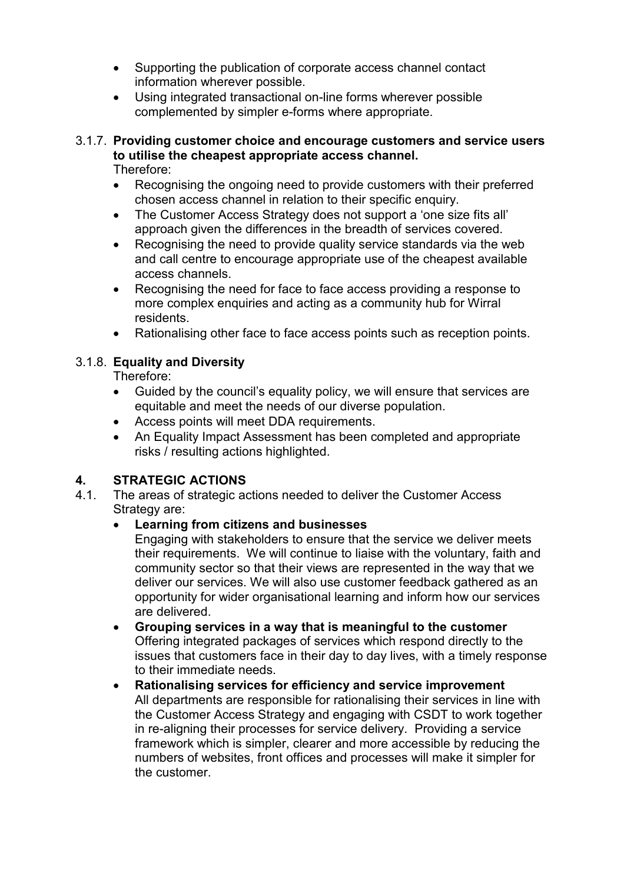- Supporting the publication of corporate access channel contact information wherever possible.
- Using integrated transactional on-line forms wherever possible complemented by simpler e-forms where appropriate.

# 3.1.7. **Providing customer choice and encourage customers and service users to utilise the cheapest appropriate access channel.**

Therefore:

- Recognising the ongoing need to provide customers with their preferred chosen access channel in relation to their specific enquiry.
- The Customer Access Strategy does not support a 'one size fits all' approach given the differences in the breadth of services covered.
- Recognising the need to provide quality service standards via the web and call centre to encourage appropriate use of the cheapest available access channels.
- Recognising the need for face to face access providing a response to more complex enquiries and acting as a community hub for Wirral residents.
- Rationalising other face to face access points such as reception points.

# 3.1.8. **Equality and Diversity**

Therefore:

- Guided by the council's equality policy, we will ensure that services are equitable and meet the needs of our diverse population.
- Access points will meet DDA requirements.
- An Equality Impact Assessment has been completed and appropriate risks / resulting actions highlighted.

# **4. STRATEGIC ACTIONS**

4.1. The areas of strategic actions needed to deliver the Customer Access Strategy are:

## • **Learning from citizens and businesses**

 Engaging with stakeholders to ensure that the service we deliver meets their requirements. We will continue to liaise with the voluntary, faith and community sector so that their views are represented in the way that we deliver our services. We will also use customer feedback gathered as an opportunity for wider organisational learning and inform how our services are delivered.

- **Grouping services in a way that is meaningful to the customer**  Offering integrated packages of services which respond directly to the issues that customers face in their day to day lives, with a timely response to their immediate needs.
- **Rationalising services for efficiency and service improvement**  All departments are responsible for rationalising their services in line with the Customer Access Strategy and engaging with CSDT to work together in re-aligning their processes for service delivery. Providing a service framework which is simpler, clearer and more accessible by reducing the numbers of websites, front offices and processes will make it simpler for the customer.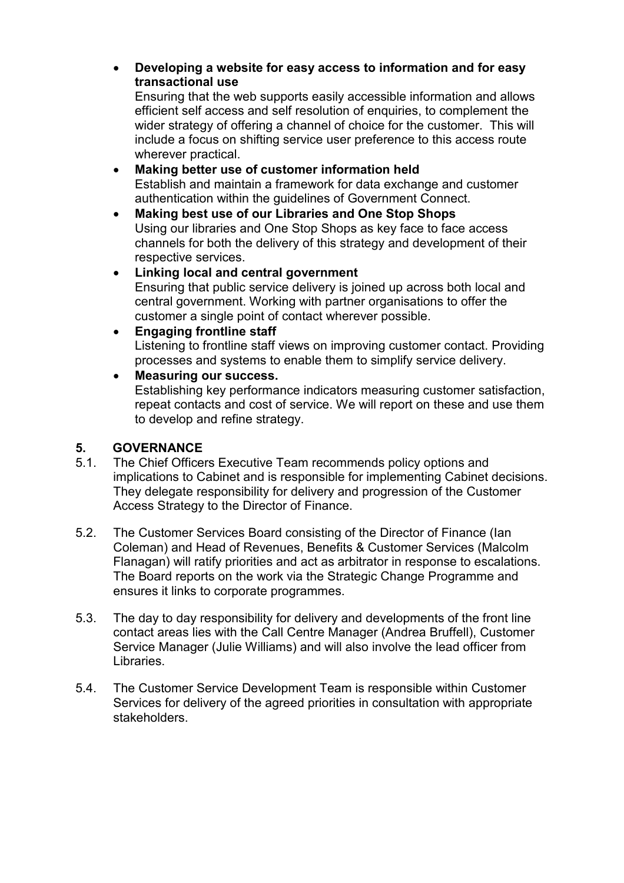• **Developing a website for easy access to information and for easy transactional use** 

 Ensuring that the web supports easily accessible information and allows efficient self access and self resolution of enquiries, to complement the wider strategy of offering a channel of choice for the customer. This will include a focus on shifting service user preference to this access route wherever practical.

- **Making better use of customer information held**  Establish and maintain a framework for data exchange and customer authentication within the guidelines of Government Connect.
- **Making best use of our Libraries and One Stop Shops** Using our libraries and One Stop Shops as key face to face access channels for both the delivery of this strategy and development of their respective services.
- **Linking local and central government**  Ensuring that public service delivery is joined up across both local and central government. Working with partner organisations to offer the customer a single point of contact wherever possible.

## • **Engaging frontline staff**

 Listening to frontline staff views on improving customer contact. Providing processes and systems to enable them to simplify service delivery.

## • **Measuring our success.**

 Establishing key performance indicators measuring customer satisfaction, repeat contacts and cost of service. We will report on these and use them to develop and refine strategy.

## **5. GOVERNANCE**

- 5.1. The Chief Officers Executive Team recommends policy options and implications to Cabinet and is responsible for implementing Cabinet decisions. They delegate responsibility for delivery and progression of the Customer Access Strategy to the Director of Finance.
- 5.2. The Customer Services Board consisting of the Director of Finance (Ian Coleman) and Head of Revenues, Benefits & Customer Services (Malcolm Flanagan) will ratify priorities and act as arbitrator in response to escalations. The Board reports on the work via the Strategic Change Programme and ensures it links to corporate programmes.
- 5.3. The day to day responsibility for delivery and developments of the front line contact areas lies with the Call Centre Manager (Andrea Bruffell), Customer Service Manager (Julie Williams) and will also involve the lead officer from Libraries.
- 5.4. The Customer Service Development Team is responsible within Customer Services for delivery of the agreed priorities in consultation with appropriate stakeholders.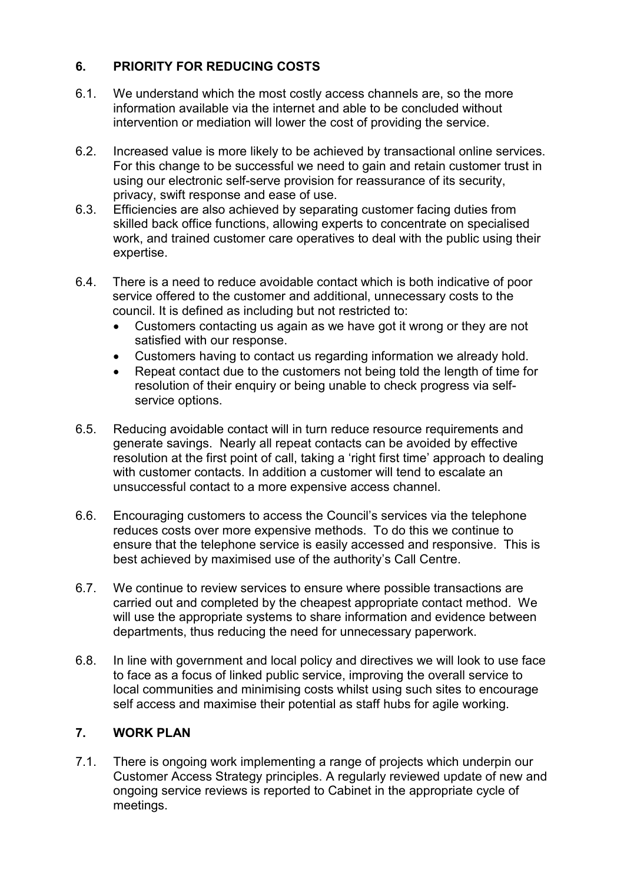# **6. PRIORITY FOR REDUCING COSTS**

- 6.1. We understand which the most costly access channels are, so the more information available via the internet and able to be concluded without intervention or mediation will lower the cost of providing the service.
- 6.2. Increased value is more likely to be achieved by transactional online services. For this change to be successful we need to gain and retain customer trust in using our electronic self-serve provision for reassurance of its security, privacy, swift response and ease of use.
- 6.3. Efficiencies are also achieved by separating customer facing duties from skilled back office functions, allowing experts to concentrate on specialised work, and trained customer care operatives to deal with the public using their expertise.
- 6.4. There is a need to reduce avoidable contact which is both indicative of poor service offered to the customer and additional, unnecessary costs to the council. It is defined as including but not restricted to:
	- Customers contacting us again as we have got it wrong or they are not satisfied with our response.
	- Customers having to contact us regarding information we already hold.
	- Repeat contact due to the customers not being told the length of time for resolution of their enquiry or being unable to check progress via selfservice options.
- 6.5. Reducing avoidable contact will in turn reduce resource requirements and generate savings. Nearly all repeat contacts can be avoided by effective resolution at the first point of call, taking a 'right first time' approach to dealing with customer contacts. In addition a customer will tend to escalate an unsuccessful contact to a more expensive access channel.
- 6.6. Encouraging customers to access the Council's services via the telephone reduces costs over more expensive methods. To do this we continue to ensure that the telephone service is easily accessed and responsive. This is best achieved by maximised use of the authority's Call Centre.
- 6.7. We continue to review services to ensure where possible transactions are carried out and completed by the cheapest appropriate contact method. We will use the appropriate systems to share information and evidence between departments, thus reducing the need for unnecessary paperwork.
- 6.8. In line with government and local policy and directives we will look to use face to face as a focus of linked public service, improving the overall service to local communities and minimising costs whilst using such sites to encourage self access and maximise their potential as staff hubs for agile working.

## **7. WORK PLAN**

7.1. There is ongoing work implementing a range of projects which underpin our Customer Access Strategy principles. A regularly reviewed update of new and ongoing service reviews is reported to Cabinet in the appropriate cycle of meetings.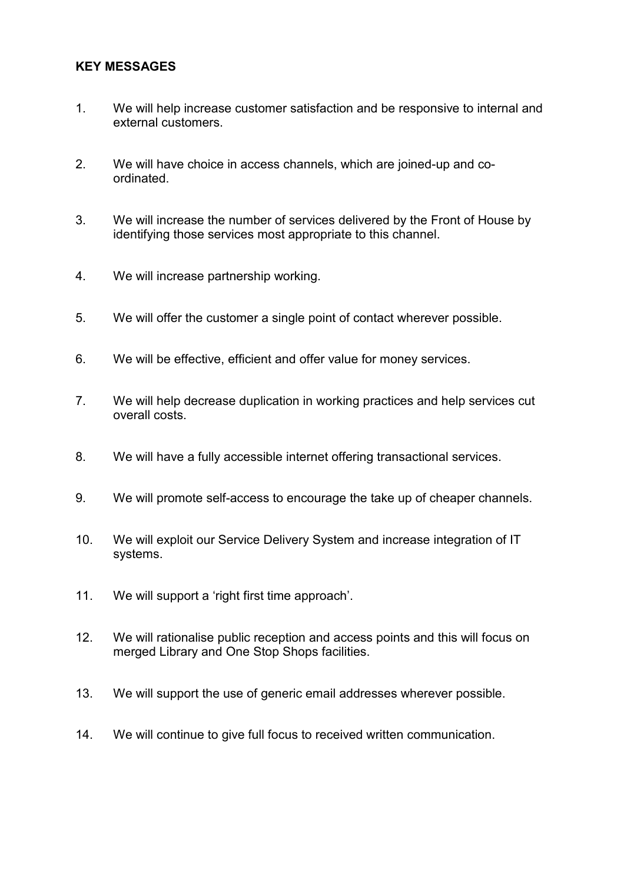#### **KEY MESSAGES**

- 1. We will help increase customer satisfaction and be responsive to internal and external customers.
- 2. We will have choice in access channels, which are joined-up and coordinated.
- 3. We will increase the number of services delivered by the Front of House by identifying those services most appropriate to this channel.
- 4. We will increase partnership working.
- 5. We will offer the customer a single point of contact wherever possible.
- 6. We will be effective, efficient and offer value for money services.
- 7. We will help decrease duplication in working practices and help services cut overall costs.
- 8. We will have a fully accessible internet offering transactional services.
- 9. We will promote self-access to encourage the take up of cheaper channels.
- 10. We will exploit our Service Delivery System and increase integration of IT systems.
- 11. We will support a 'right first time approach'.
- 12. We will rationalise public reception and access points and this will focus on merged Library and One Stop Shops facilities.
- 13. We will support the use of generic email addresses wherever possible.
- 14. We will continue to give full focus to received written communication.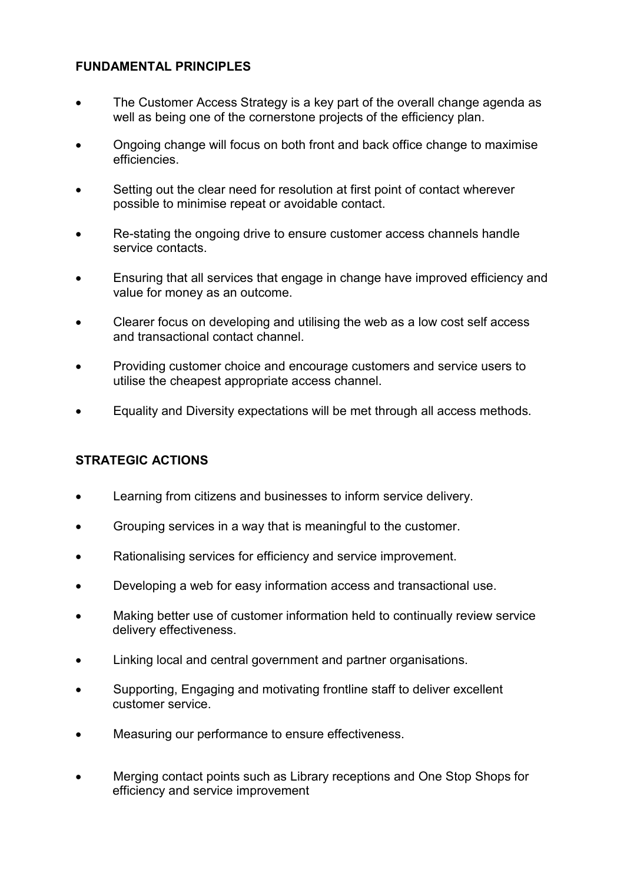# **FUNDAMENTAL PRINCIPLES**

- The Customer Access Strategy is a key part of the overall change agenda as well as being one of the cornerstone projects of the efficiency plan.
- Ongoing change will focus on both front and back office change to maximise efficiencies.
- Setting out the clear need for resolution at first point of contact wherever possible to minimise repeat or avoidable contact.
- Re-stating the ongoing drive to ensure customer access channels handle service contacts.
- Ensuring that all services that engage in change have improved efficiency and value for money as an outcome.
- Clearer focus on developing and utilising the web as a low cost self access and transactional contact channel.
- Providing customer choice and encourage customers and service users to utilise the cheapest appropriate access channel.
- Equality and Diversity expectations will be met through all access methods.

## **STRATEGIC ACTIONS**

- Learning from citizens and businesses to inform service delivery.
- Grouping services in a way that is meaningful to the customer.
- Rationalising services for efficiency and service improvement.
- Developing a web for easy information access and transactional use.
- Making better use of customer information held to continually review service delivery effectiveness.
- Linking local and central government and partner organisations.
- Supporting, Engaging and motivating frontline staff to deliver excellent customer service.
- Measuring our performance to ensure effectiveness.
- Merging contact points such as Library receptions and One Stop Shops for efficiency and service improvement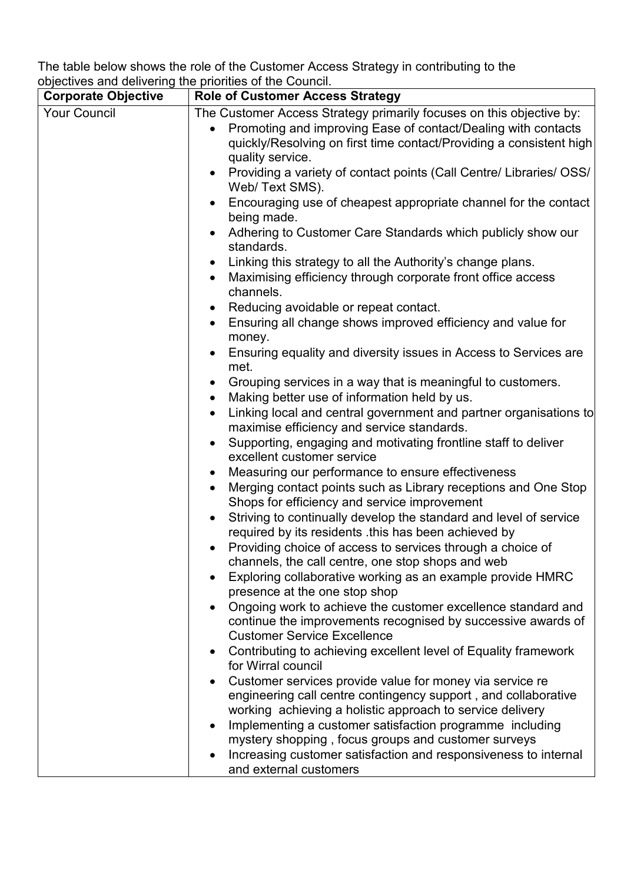The table below shows the role of the Customer Access Strategy in contributing to the objectives and delivering the priorities of the Council.

| <b>Corporate Objective</b> | <b>Role of Customer Access Strategy</b>                                                                        |  |  |
|----------------------------|----------------------------------------------------------------------------------------------------------------|--|--|
| <b>Your Council</b>        | The Customer Access Strategy primarily focuses on this objective by:                                           |  |  |
|                            | Promoting and improving Ease of contact/Dealing with contacts<br>$\bullet$                                     |  |  |
|                            | quickly/Resolving on first time contact/Providing a consistent high                                            |  |  |
|                            | quality service.                                                                                               |  |  |
|                            | Providing a variety of contact points (Call Centre/ Libraries/ OSS/<br>$\bullet$                               |  |  |
|                            | Web/Text SMS).                                                                                                 |  |  |
|                            | Encouraging use of cheapest appropriate channel for the contact<br>being made.                                 |  |  |
|                            | Adhering to Customer Care Standards which publicly show our                                                    |  |  |
|                            | standards.                                                                                                     |  |  |
|                            | Linking this strategy to all the Authority's change plans.<br>$\bullet$                                        |  |  |
|                            | Maximising efficiency through corporate front office access<br>$\bullet$<br>channels.                          |  |  |
|                            | Reducing avoidable or repeat contact.                                                                          |  |  |
|                            | Ensuring all change shows improved efficiency and value for<br>$\bullet$                                       |  |  |
|                            | money.                                                                                                         |  |  |
|                            | Ensuring equality and diversity issues in Access to Services are<br>met.                                       |  |  |
|                            | Grouping services in a way that is meaningful to customers.<br>$\bullet$                                       |  |  |
|                            | Making better use of information held by us.<br>$\bullet$                                                      |  |  |
|                            | Linking local and central government and partner organisations to<br>$\bullet$                                 |  |  |
|                            | maximise efficiency and service standards.                                                                     |  |  |
|                            | Supporting, engaging and motivating frontline staff to deliver<br>$\bullet$                                    |  |  |
|                            | excellent customer service                                                                                     |  |  |
|                            | Measuring our performance to ensure effectiveness<br>$\bullet$                                                 |  |  |
|                            | Merging contact points such as Library receptions and One Stop<br>Shops for efficiency and service improvement |  |  |
|                            | Striving to continually develop the standard and level of service<br>$\bullet$                                 |  |  |
|                            | required by its residents this has been achieved by                                                            |  |  |
|                            | Providing choice of access to services through a choice of                                                     |  |  |
|                            | channels, the call centre, one stop shops and web                                                              |  |  |
|                            | Exploring collaborative working as an example provide HMRC                                                     |  |  |
|                            | presence at the one stop shop                                                                                  |  |  |
|                            | Ongoing work to achieve the customer excellence standard and<br>$\bullet$                                      |  |  |
|                            | continue the improvements recognised by successive awards of<br><b>Customer Service Excellence</b>             |  |  |
|                            | Contributing to achieving excellent level of Equality framework                                                |  |  |
|                            | $\bullet$<br>for Wirral council                                                                                |  |  |
|                            | Customer services provide value for money via service re                                                       |  |  |
|                            | engineering call centre contingency support, and collaborative                                                 |  |  |
|                            | working achieving a holistic approach to service delivery                                                      |  |  |
|                            | Implementing a customer satisfaction programme including<br>$\bullet$                                          |  |  |
|                            | mystery shopping, focus groups and customer surveys                                                            |  |  |
|                            | Increasing customer satisfaction and responsiveness to internal                                                |  |  |
|                            | and external customers                                                                                         |  |  |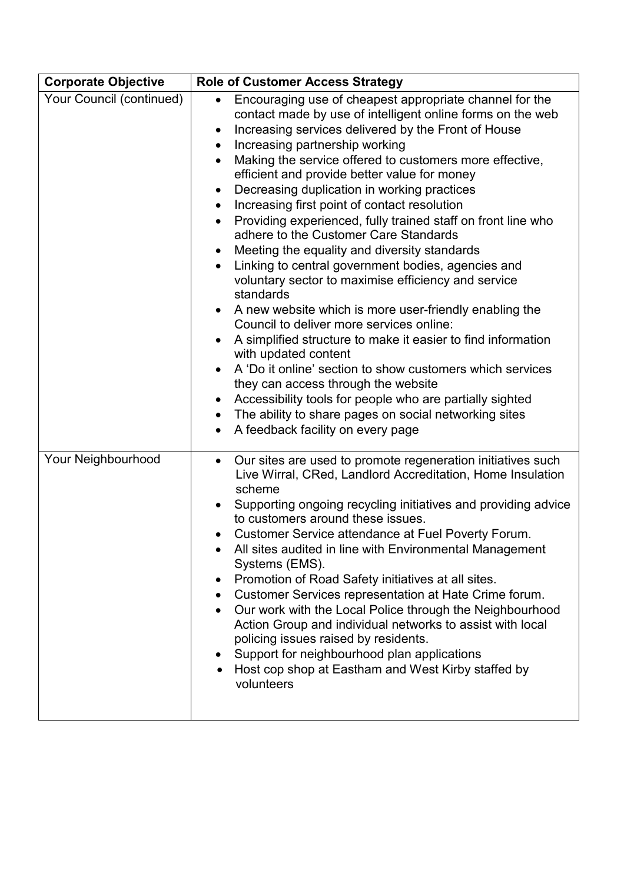| <b>Corporate Objective</b> | <b>Role of Customer Access Strategy</b>                                                                                                                                                                                                                                                                                                                                                                                                                                                                                                                                                                                                                                                                                                                                                                                                                                                                                                                                                                                                                                                                                                                                                                             |  |  |
|----------------------------|---------------------------------------------------------------------------------------------------------------------------------------------------------------------------------------------------------------------------------------------------------------------------------------------------------------------------------------------------------------------------------------------------------------------------------------------------------------------------------------------------------------------------------------------------------------------------------------------------------------------------------------------------------------------------------------------------------------------------------------------------------------------------------------------------------------------------------------------------------------------------------------------------------------------------------------------------------------------------------------------------------------------------------------------------------------------------------------------------------------------------------------------------------------------------------------------------------------------|--|--|
| Your Council (continued)   | Encouraging use of cheapest appropriate channel for the<br>$\bullet$<br>contact made by use of intelligent online forms on the web<br>Increasing services delivered by the Front of House<br>Increasing partnership working<br>Making the service offered to customers more effective,<br>$\bullet$<br>efficient and provide better value for money<br>Decreasing duplication in working practices<br>$\bullet$<br>Increasing first point of contact resolution<br>Providing experienced, fully trained staff on front line who<br>adhere to the Customer Care Standards<br>Meeting the equality and diversity standards<br>Linking to central government bodies, agencies and<br>voluntary sector to maximise efficiency and service<br>standards<br>A new website which is more user-friendly enabling the<br>Council to deliver more services online:<br>A simplified structure to make it easier to find information<br>with updated content<br>A 'Do it online' section to show customers which services<br>they can access through the website<br>Accessibility tools for people who are partially sighted<br>The ability to share pages on social networking sites<br>٠<br>A feedback facility on every page |  |  |
| Your Neighbourhood         | Our sites are used to promote regeneration initiatives such<br>$\bullet$<br>Live Wirral, CRed, Landlord Accreditation, Home Insulation<br>scheme<br>Supporting ongoing recycling initiatives and providing advice<br>$\bullet$<br>to customers around these issues.<br>Customer Service attendance at Fuel Poverty Forum.<br>$\bullet$<br>All sites audited in line with Environmental Management<br>Systems (EMS).<br>Promotion of Road Safety initiatives at all sites.<br>Customer Services representation at Hate Crime forum.<br>Our work with the Local Police through the Neighbourhood<br>Action Group and individual networks to assist with local<br>policing issues raised by residents.<br>Support for neighbourhood plan applications<br>$\bullet$<br>Host cop shop at Eastham and West Kirby staffed by<br>volunteers                                                                                                                                                                                                                                                                                                                                                                                 |  |  |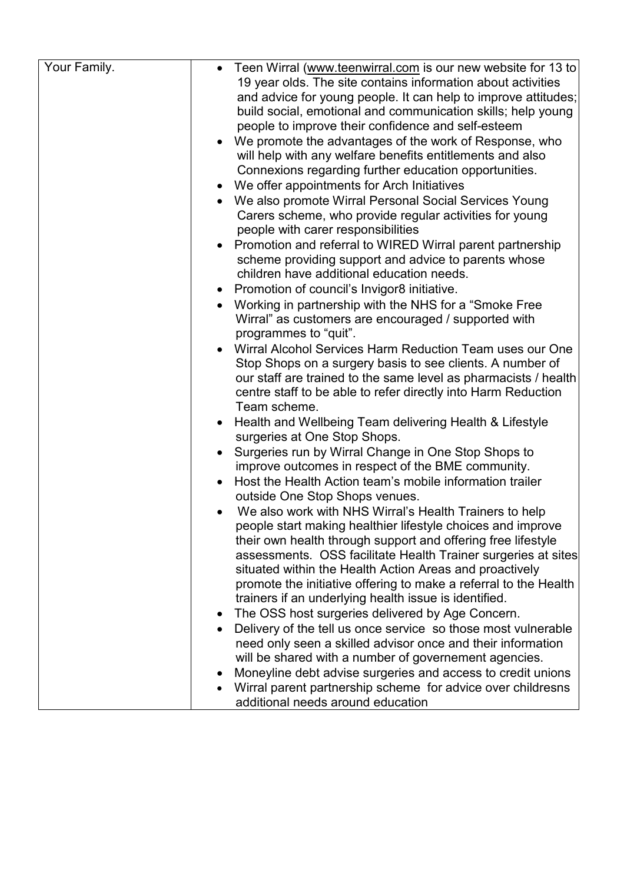|           | Teen Wirral (www.teenwirral.com is our new website for 13 to<br>19 year olds. The site contains information about activities |
|-----------|------------------------------------------------------------------------------------------------------------------------------|
|           | and advice for young people. It can help to improve attitudes;                                                               |
|           | build social, emotional and communication skills; help young                                                                 |
|           | people to improve their confidence and self-esteem                                                                           |
|           | We promote the advantages of the work of Response, who                                                                       |
|           | will help with any welfare benefits entitlements and also                                                                    |
|           | Connexions regarding further education opportunities.                                                                        |
|           | We offer appointments for Arch Initiatives                                                                                   |
|           | We also promote Wirral Personal Social Services Young                                                                        |
|           | Carers scheme, who provide regular activities for young                                                                      |
|           | people with carer responsibilities                                                                                           |
|           | Promotion and referral to WIRED Wirral parent partnership                                                                    |
|           | scheme providing support and advice to parents whose                                                                         |
|           | children have additional education needs.                                                                                    |
| $\bullet$ | Promotion of council's Invigor8 initiative.                                                                                  |
| $\bullet$ | Working in partnership with the NHS for a "Smoke Free"                                                                       |
|           | Wirral" as customers are encouraged / supported with                                                                         |
|           | programmes to "quit".                                                                                                        |
|           | Wirral Alcohol Services Harm Reduction Team uses our One                                                                     |
|           | Stop Shops on a surgery basis to see clients. A number of                                                                    |
|           | our staff are trained to the same level as pharmacists / health                                                              |
|           | centre staff to be able to refer directly into Harm Reduction                                                                |
|           | Team scheme.                                                                                                                 |
|           | Health and Wellbeing Team delivering Health & Lifestyle                                                                      |
|           | surgeries at One Stop Shops.                                                                                                 |
|           | Surgeries run by Wirral Change in One Stop Shops to                                                                          |
|           | improve outcomes in respect of the BME community.                                                                            |
|           | Host the Health Action team's mobile information trailer                                                                     |
|           | outside One Stop Shops venues.                                                                                               |
|           | We also work with NHS Wirral's Health Trainers to help                                                                       |
|           | people start making healthier lifestyle choices and improve                                                                  |
|           | their own health through support and offering free lifestyle                                                                 |
|           | assessments. OSS facilitate Health Trainer surgeries at sites<br>situated within the Health Action Areas and proactively     |
|           | promote the initiative offering to make a referral to the Health                                                             |
|           | trainers if an underlying health issue is identified.                                                                        |
|           | The OSS host surgeries delivered by Age Concern.                                                                             |
|           | Delivery of the tell us once service so those most vulnerable                                                                |
|           | need only seen a skilled advisor once and their information                                                                  |
|           | will be shared with a number of governement agencies.                                                                        |
|           | Moneyline debt advise surgeries and access to credit unions                                                                  |
|           | Wirral parent partnership scheme for advice over childresns                                                                  |
|           | additional needs around education                                                                                            |
|           | $\bullet$<br>٠                                                                                                               |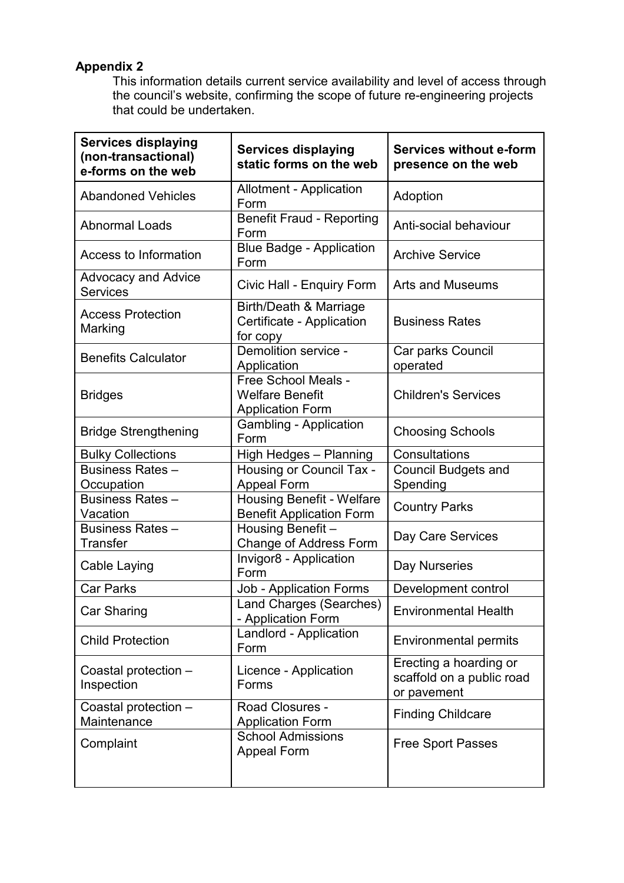# **Appendix 2**

This information details current service availability and level of access through the council's website, confirming the scope of future re-engineering projects that could be undertaken.

| <b>Services displaying</b><br>(non-transactional)<br>e-forms on the web | <b>Services displaying</b><br>static forms on the web                    | <b>Services without e-form</b><br>presence on the web              |
|-------------------------------------------------------------------------|--------------------------------------------------------------------------|--------------------------------------------------------------------|
| <b>Abandoned Vehicles</b>                                               | <b>Allotment - Application</b><br>Form                                   | Adoption                                                           |
| <b>Abnormal Loads</b>                                                   | <b>Benefit Fraud - Reporting</b><br>Form                                 | Anti-social behaviour                                              |
| Access to Information                                                   | <b>Blue Badge - Application</b><br>Form                                  | <b>Archive Service</b>                                             |
| <b>Advocacy and Advice</b><br><b>Services</b>                           | Civic Hall - Enquiry Form                                                | <b>Arts and Museums</b>                                            |
| <b>Access Protection</b><br>Marking                                     | Birth/Death & Marriage<br>Certificate - Application<br>for copy          | <b>Business Rates</b>                                              |
| <b>Benefits Calculator</b>                                              | Demolition service -<br>Application                                      | Car parks Council<br>operated                                      |
| <b>Bridges</b>                                                          | Free School Meals -<br><b>Welfare Benefit</b><br><b>Application Form</b> | <b>Children's Services</b>                                         |
| <b>Bridge Strengthening</b>                                             | <b>Gambling - Application</b><br>Form                                    | <b>Choosing Schools</b>                                            |
| <b>Bulky Collections</b>                                                | High Hedges - Planning                                                   | Consultations                                                      |
| <b>Business Rates -</b><br>Occupation                                   | Housing or Council Tax -<br><b>Appeal Form</b>                           | <b>Council Budgets and</b><br>Spending                             |
| <b>Business Rates-</b><br>Vacation                                      | <b>Housing Benefit - Welfare</b><br><b>Benefit Application Form</b>      | <b>Country Parks</b>                                               |
| <b>Business Rates -</b><br><b>Transfer</b>                              | Housing Benefit-<br>Change of Address Form                               | Day Care Services                                                  |
| Cable Laying                                                            | Invigor8 - Application<br>Form                                           | Day Nurseries                                                      |
| <b>Car Parks</b>                                                        | <b>Job - Application Forms</b>                                           | Development control                                                |
| Car Sharing                                                             | Land Charges (Searches)<br>- Application Form                            | <b>Environmental Health</b>                                        |
| <b>Child Protection</b>                                                 | Landlord - Application<br>Form                                           | <b>Environmental permits</b>                                       |
| Coastal protection -<br>Inspection                                      | Licence - Application<br>Forms                                           | Erecting a hoarding or<br>scaffold on a public road<br>or pavement |
| Coastal protection -<br>Maintenance                                     | <b>Road Closures -</b><br><b>Application Form</b>                        | <b>Finding Childcare</b>                                           |
| Complaint                                                               | <b>School Admissions</b><br>Appeal Form                                  | <b>Free Sport Passes</b>                                           |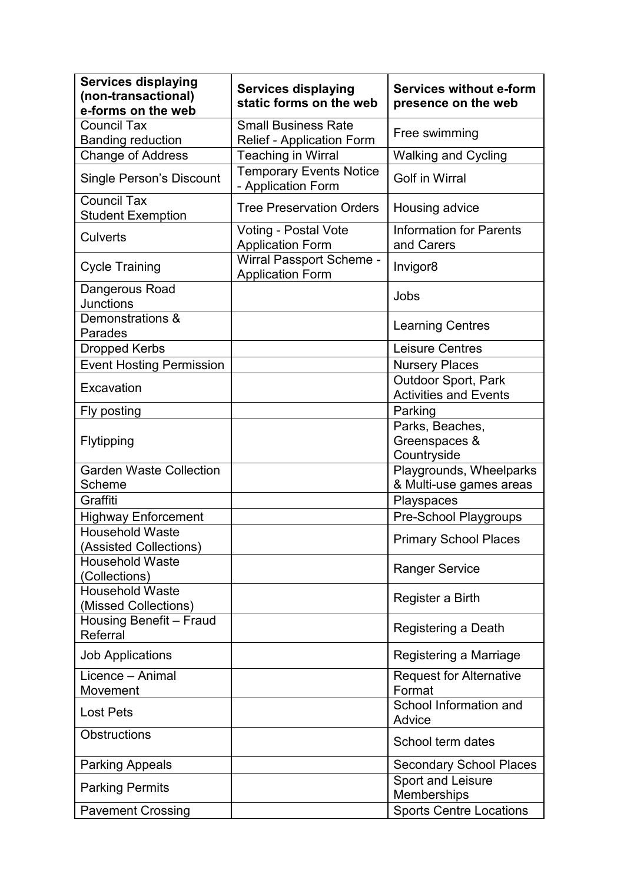| <b>Services displaying</b><br>(non-transactional)<br>e-forms on the web | <b>Services displaying</b><br>static forms on the web          | <b>Services without e-form</b><br>presence on the web |
|-------------------------------------------------------------------------|----------------------------------------------------------------|-------------------------------------------------------|
| <b>Council Tax</b><br><b>Banding reduction</b>                          | <b>Small Business Rate</b><br><b>Relief - Application Form</b> | Free swimming                                         |
| <b>Change of Address</b>                                                | <b>Teaching in Wirral</b>                                      | <b>Walking and Cycling</b>                            |
| <b>Single Person's Discount</b>                                         | <b>Temporary Events Notice</b><br>- Application Form           | <b>Golf in Wirral</b>                                 |
| <b>Council Tax</b><br><b>Student Exemption</b>                          | <b>Tree Preservation Orders</b>                                | Housing advice                                        |
| <b>Culverts</b>                                                         | Voting - Postal Vote<br><b>Application Form</b>                | <b>Information for Parents</b><br>and Carers          |
| <b>Cycle Training</b>                                                   | Wirral Passport Scheme -<br><b>Application Form</b>            | Invigor <sub>8</sub>                                  |
| Dangerous Road<br><b>Junctions</b>                                      |                                                                | Jobs                                                  |
| Demonstrations &<br>Parades                                             |                                                                | <b>Learning Centres</b>                               |
| Dropped Kerbs                                                           |                                                                | <b>Leisure Centres</b>                                |
| <b>Event Hosting Permission</b>                                         |                                                                | <b>Nursery Places</b>                                 |
| Excavation                                                              |                                                                | Outdoor Sport, Park<br><b>Activities and Events</b>   |
| Fly posting                                                             |                                                                | Parking                                               |
| Flytipping                                                              |                                                                | Parks, Beaches,<br>Greenspaces &<br>Countryside       |
| <b>Garden Waste Collection</b><br>Scheme                                |                                                                | Playgrounds, Wheelparks<br>& Multi-use games areas    |
| Graffiti                                                                |                                                                | Playspaces                                            |
| <b>Highway Enforcement</b>                                              |                                                                | Pre-School Playgroups                                 |
| <b>Household Waste</b><br>(Assisted Collections)                        |                                                                | <b>Primary School Places</b>                          |
| <b>Household Waste</b><br>(Collections)                                 |                                                                | <b>Ranger Service</b>                                 |
| <b>Household Waste</b><br>(Missed Collections)                          |                                                                | Register a Birth                                      |
| Housing Benefit - Fraud<br>Referral                                     |                                                                | Registering a Death                                   |
| <b>Job Applications</b>                                                 |                                                                | Registering a Marriage                                |
| Licence - Animal<br>Movement                                            |                                                                | <b>Request for Alternative</b><br>Format              |
| <b>Lost Pets</b>                                                        |                                                                | School Information and<br>Advice                      |
| <b>Obstructions</b>                                                     |                                                                | School term dates                                     |
| <b>Parking Appeals</b>                                                  |                                                                | <b>Secondary School Places</b>                        |
| <b>Parking Permits</b>                                                  |                                                                | Sport and Leisure<br>Memberships                      |
| <b>Pavement Crossing</b>                                                |                                                                | <b>Sports Centre Locations</b>                        |